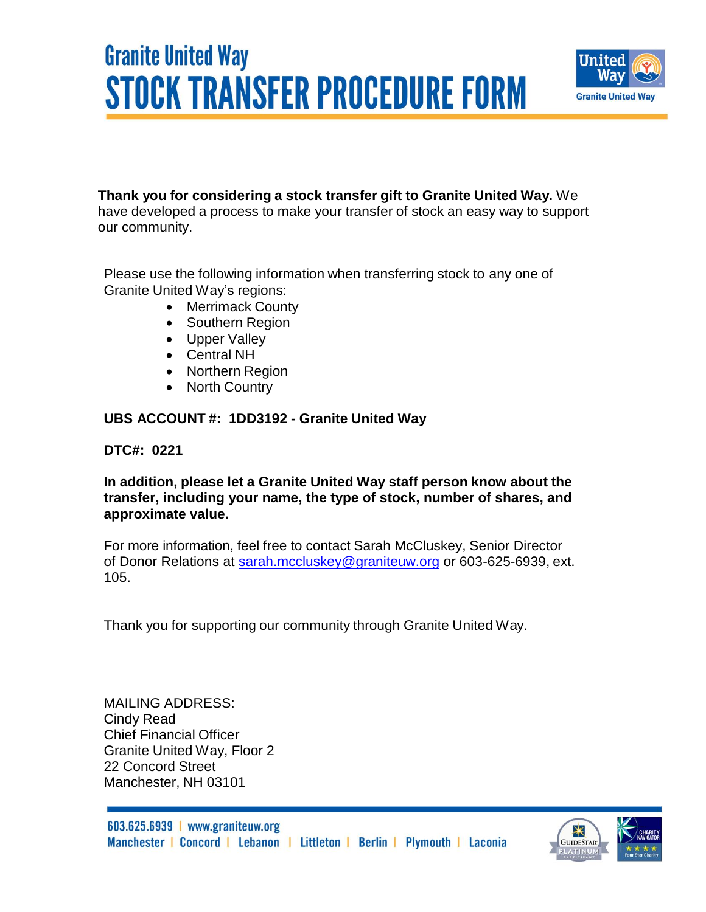## **Granite United Way STOCK TRANSFER PROCEDURE FORM**



#### **Thank you for considering a stock transfer gift to Granite United Way.** We

have developed a process to make your transfer of stock an easy way to support our community.

Please use the following information when transferring stock to any one of Granite United Way's regions:

- Merrimack County
- Southern Region
- Upper Valley
- Central NH
- Northern Region
- North Country

#### **UBS ACCOUNT #: 1DD3192 - Granite United Way**

#### **DTC#: 0221**

**In addition, please let a Granite United Way staff person know about the transfer, including your name, the type of stock, number of shares, and approximate value.**

For more information, feel free to contact Sarah McCluskey, Senior Director of Donor Relations at [sarah.mccluskey@graniteuw.org](mailto:sarah.mccluskey@graniteuw.org) or 603-625-6939, ext. 105.

Thank you for supporting our community through Granite United Way.

MAILING ADDRESS: Cindy Read Chief Financial Officer Granite United Way, Floor 2 22 Concord Street Manchester, NH 03101

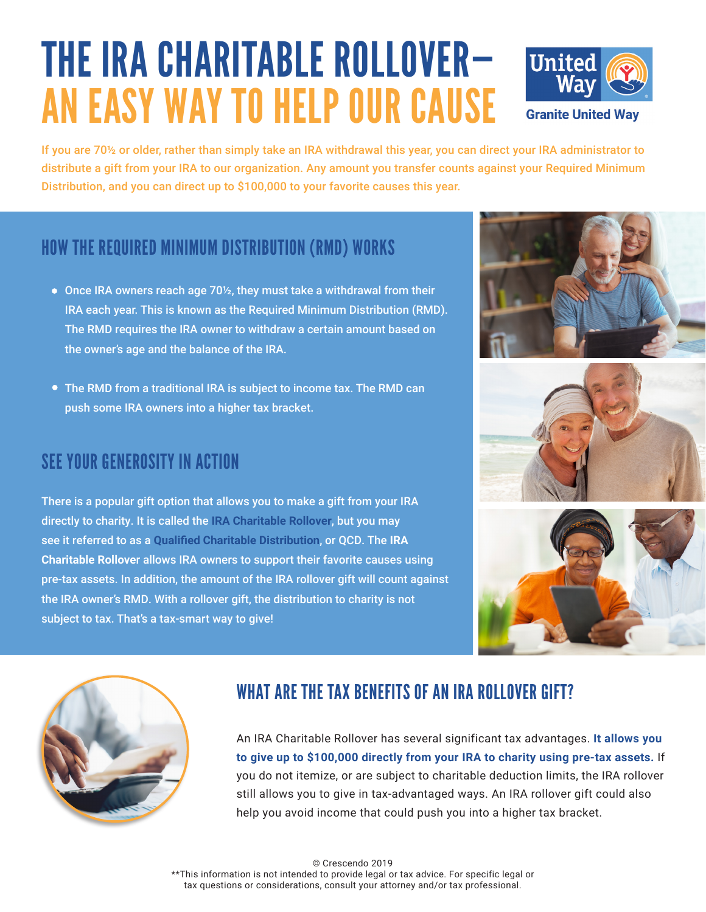# THE IRA CHARITABLE ROLLOVER— AN EASY WAY TO HELP OUR CAUSE



If you are 70½ or older, rather than simply take an IRA withdrawal this year, you can direct your IRA administrator to distribute a gift from your IRA to our organization. Any amount you transfer counts against your Required Minimum Distribution, and you can direct up to \$100,000 to your favorite causes this year.

## HOW THE REQUIRED MINIMUM DISTRIBUTION (RMD) WORKS

- Once IRA owners reach age 70½, they must take a withdrawal from their IRA each year. This is known as the Required Minimum Distribution (RMD). The RMD requires the IRA owner to withdraw a certain amount based on the owner's age and the balance of the IRA.
- The RMD from a traditional IRA is subject to income tax. The RMD can push some IRA owners into a higher tax bracket.

### SEE YOUR GENEROSITY IN ACTION

There is a popular gift option that allows you to make a gift from your IRA directly to charity. It is called the **IRA Charitable Rollover**, but you may see it referred to as a **Qualified Charitable Distribution**, or QCD. The **IRA Charitable Rollove**r allows IRA owners to support their favorite causes using pre-tax assets. In addition, the amount of the IRA rollover gift will count against the IRA owner's RMD. With a rollover gift, the distribution to charity is not subject to tax. That's a tax-smart way to give!









#### WHAT ARE THE TAX BENEFITS OF AN IRA ROLLOVER GIFT?

An IRA Charitable Rollover has several significant tax advantages. **It allows you to give up to \$100,000 directly from your IRA to charity using pre-tax assets.** If you do not itemize, or are subject to charitable deduction limits, the IRA rollover still allows you to give in tax-advantaged ways. An IRA rollover gift could also help you avoid income that could push you into a higher tax bracket.